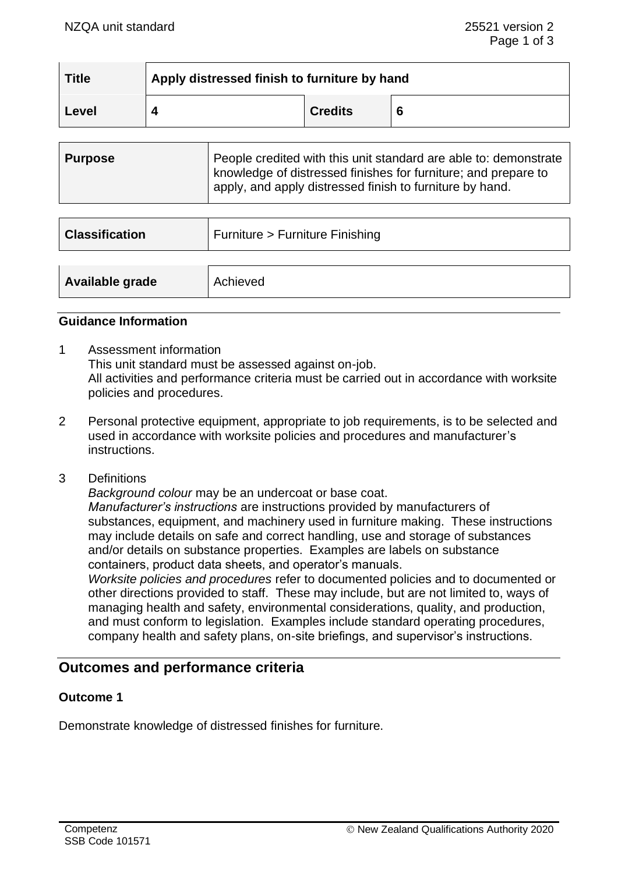| <b>Title</b> | Apply distressed finish to furniture by hand |                |   |
|--------------|----------------------------------------------|----------------|---|
| Level        |                                              | <b>Credits</b> | 6 |

| <b>Purpose</b> | People credited with this unit standard are able to: demonstrate<br>knowledge of distressed finishes for furniture; and prepare to<br>apply, and apply distressed finish to furniture by hand. |
|----------------|------------------------------------------------------------------------------------------------------------------------------------------------------------------------------------------------|
|                |                                                                                                                                                                                                |

| <b>Classification</b> | Furniture > Furniture Finishing |
|-----------------------|---------------------------------|
| Available grade       | Achieved                        |

#### **Guidance Information**

- 1 Assessment information This unit standard must be assessed against on-job. All activities and performance criteria must be carried out in accordance with worksite policies and procedures.
- 2 Personal protective equipment, appropriate to job requirements, is to be selected and used in accordance with worksite policies and procedures and manufacturer's instructions.
- 3 Definitions

*Background colour* may be an undercoat or base coat.

*Manufacturer's instructions* are instructions provided by manufacturers of substances, equipment, and machinery used in furniture making. These instructions may include details on safe and correct handling, use and storage of substances and/or details on substance properties. Examples are labels on substance containers, product data sheets, and operator's manuals.

*Worksite policies and procedures* refer to documented policies and to documented or other directions provided to staff. These may include, but are not limited to, ways of managing health and safety, environmental considerations, quality, and production, and must conform to legislation. Examples include standard operating procedures, company health and safety plans, on-site briefings, and supervisor's instructions.

# **Outcomes and performance criteria**

### **Outcome 1**

Demonstrate knowledge of distressed finishes for furniture.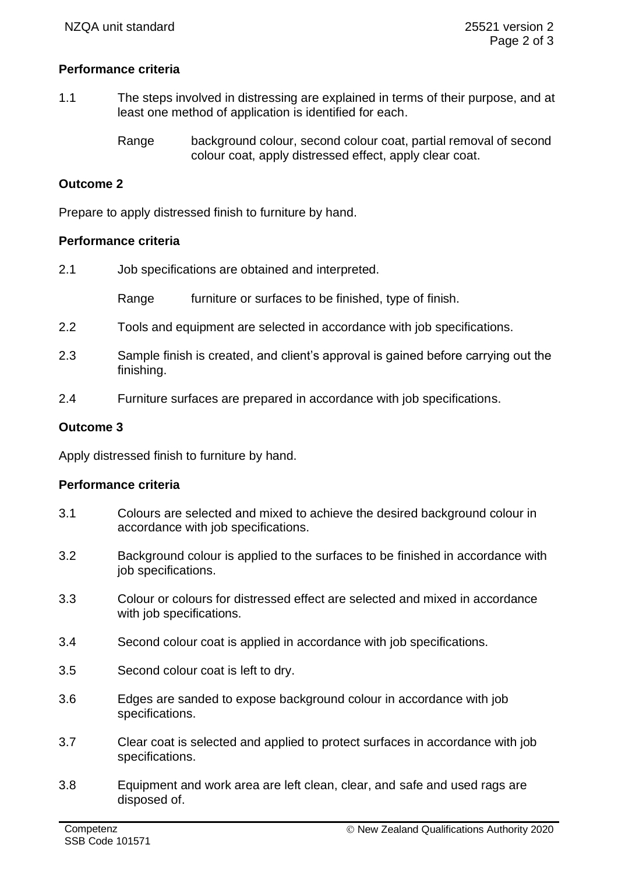## **Performance criteria**

- 1.1 The steps involved in distressing are explained in terms of their purpose, and at least one method of application is identified for each.
	- Range background colour, second colour coat, partial removal of second colour coat, apply distressed effect, apply clear coat.

### **Outcome 2**

Prepare to apply distressed finish to furniture by hand.

#### **Performance criteria**

2.1 Job specifications are obtained and interpreted.

Range furniture or surfaces to be finished, type of finish.

- 2.2 Tools and equipment are selected in accordance with job specifications.
- 2.3 Sample finish is created, and client's approval is gained before carrying out the finishing.
- 2.4 Furniture surfaces are prepared in accordance with job specifications.

#### **Outcome 3**

Apply distressed finish to furniture by hand.

#### **Performance criteria**

- 3.1 Colours are selected and mixed to achieve the desired background colour in accordance with job specifications.
- 3.2 Background colour is applied to the surfaces to be finished in accordance with job specifications.
- 3.3 Colour or colours for distressed effect are selected and mixed in accordance with job specifications.
- 3.4 Second colour coat is applied in accordance with job specifications.
- 3.5 Second colour coat is left to dry.
- 3.6 Edges are sanded to expose background colour in accordance with job specifications.
- 3.7 Clear coat is selected and applied to protect surfaces in accordance with job specifications.
- 3.8 Equipment and work area are left clean, clear, and safe and used rags are disposed of.